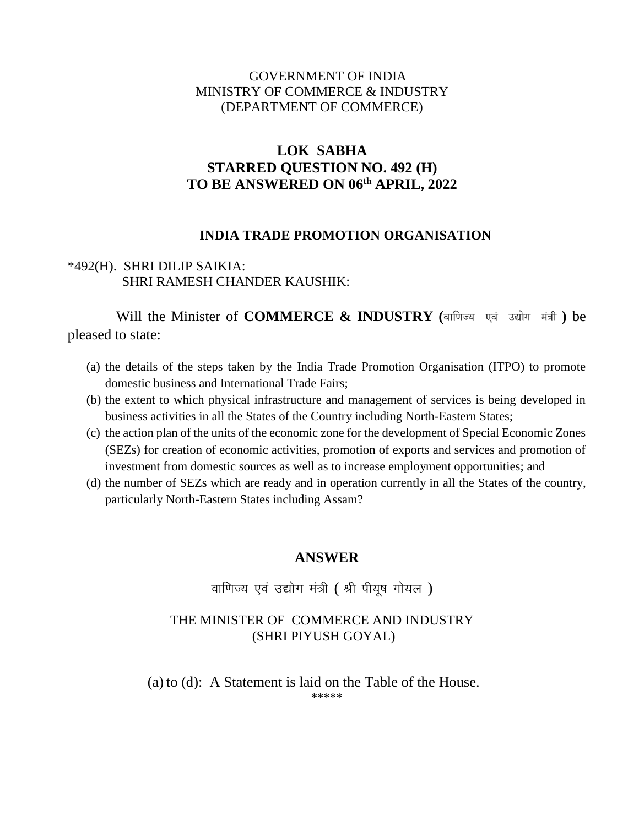#### GOVERNMENT OF INDIA MINISTRY OF COMMERCE & INDUSTRY (DEPARTMENT OF COMMERCE)

# **LOK SABHA STARRED QUESTION NO. 492 (H) TO BE ANSWERED ON 06th APRIL, 2022**

#### **INDIA TRADE PROMOTION ORGANISATION**

### \*492(H). SHRI DILIP SAIKIA: SHRI RAMESH CHANDER KAUSHIK:

 Will the Minister of **COMMERCE & INDUSTRY (**वाणिज्य एवं उद्योग मत्रं ी **)** be pleased to state:

- (a) the details of the steps taken by the India Trade Promotion Organisation (ITPO) to promote domestic business and International Trade Fairs;
- (b) the extent to which physical infrastructure and management of services is being developed in business activities in all the States of the Country including North-Eastern States;
- (c) the action plan of the units of the economic zone for the development of Special Economic Zones (SEZs) for creation of economic activities, promotion of exports and services and promotion of investment from domestic sources as well as to increase employment opportunities; and
- (d) the number of SEZs which are ready and in operation currently in all the States of the country, particularly North-Eastern States including Assam?

## **ANSWER**

# वाणिज्य एवं उद्योग मंत्री (श्री पीयुष गोयल)

#### THE MINISTER OF COMMERCE AND INDUSTRY (SHRI PIYUSH GOYAL)

(a) to (d): A Statement is laid on the Table of the House. \*\*\*\*\*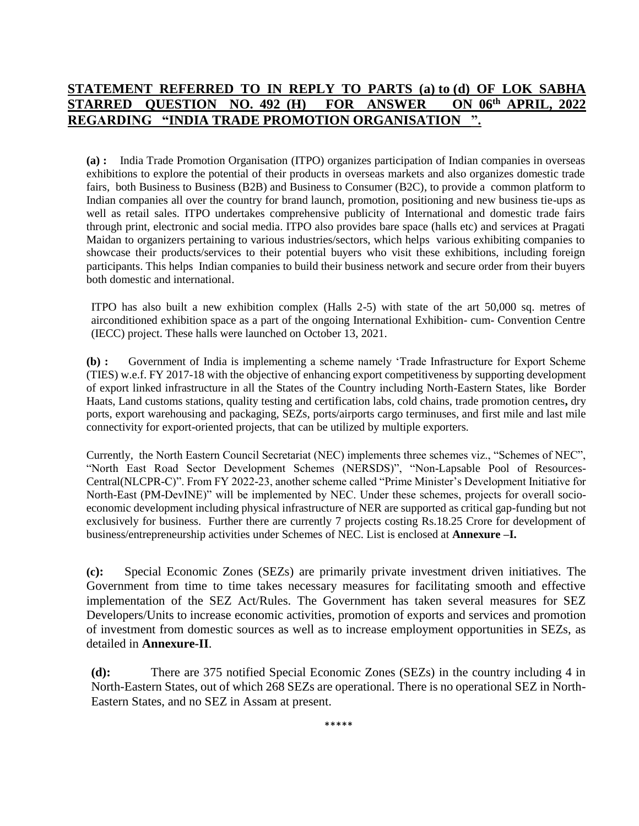#### **STATEMENT REFERRED TO IN REPLY TO PARTS (a) to (d) OF LOK SABHA STARRED QUESTION NO. 492 (H) FOR ANSWER ON 06th APRIL, 2022 REGARDING "INDIA TRADE PROMOTION ORGANISATION ".**

**(a) :** India Trade Promotion Organisation (ITPO) organizes participation of Indian companies in overseas exhibitions to explore the potential of their products in overseas markets and also organizes domestic trade fairs, both Business to Business (B2B) and Business to Consumer (B2C), to provide a common platform to Indian companies all over the country for brand launch, promotion, positioning and new business tie-ups as well as retail sales. ITPO undertakes comprehensive publicity of International and domestic trade fairs through print, electronic and social media. ITPO also provides bare space (halls etc) and services at Pragati Maidan to organizers pertaining to various industries/sectors, which helps various exhibiting companies to showcase their products/services to their potential buyers who visit these exhibitions, including foreign participants. This helps Indian companies to build their business network and secure order from their buyers both domestic and international.

ITPO has also built a new exhibition complex (Halls 2-5) with state of the art 50,000 sq. metres of airconditioned exhibition space as a part of the ongoing International Exhibition- cum- Convention Centre (IECC) project. These halls were launched on October 13, 2021.

**(b) :** Government of India is implementing a scheme namely 'Trade Infrastructure for Export Scheme (TIES) w.e.f. FY 2017-18 with the objective of enhancing export competitiveness by supporting development of export linked infrastructure in all the States of the Country including North-Eastern States, like Border Haats, Land customs stations, quality testing and certification labs, cold chains, trade promotion centres**,** dry ports, export warehousing and packaging, SEZs, ports/airports cargo terminuses, and first mile and last mile connectivity for export-oriented projects, that can be utilized by multiple exporters.

Currently, the North Eastern Council Secretariat (NEC) implements three schemes viz., "Schemes of NEC", "North East Road Sector Development Schemes (NERSDS)", "Non-Lapsable Pool of Resources-Central(NLCPR-C)". From FY 2022-23, another scheme called "Prime Minister's Development Initiative for North-East (PM-DevINE)" will be implemented by NEC. Under these schemes, projects for overall socioeconomic development including physical infrastructure of NER are supported as critical gap-funding but not exclusively for business. Further there are currently 7 projects costing Rs.18.25 Crore for development of business/entrepreneurship activities under Schemes of NEC. List is enclosed at **Annexure –I.**

**(c):** Special Economic Zones (SEZs) are primarily private investment driven initiatives. The Government from time to time takes necessary measures for facilitating smooth and effective implementation of the SEZ Act/Rules. The Government has taken several measures for SEZ Developers/Units to increase economic activities, promotion of exports and services and promotion of investment from domestic sources as well as to increase employment opportunities in SEZs, as detailed in **Annexure-II**.

**(d):** There are 375 notified Special Economic Zones (SEZs) in the country including 4 in North-Eastern States, out of which 268 SEZs are operational. There is no operational SEZ in North-Eastern States, and no SEZ in Assam at present.

\*\*\*\*\*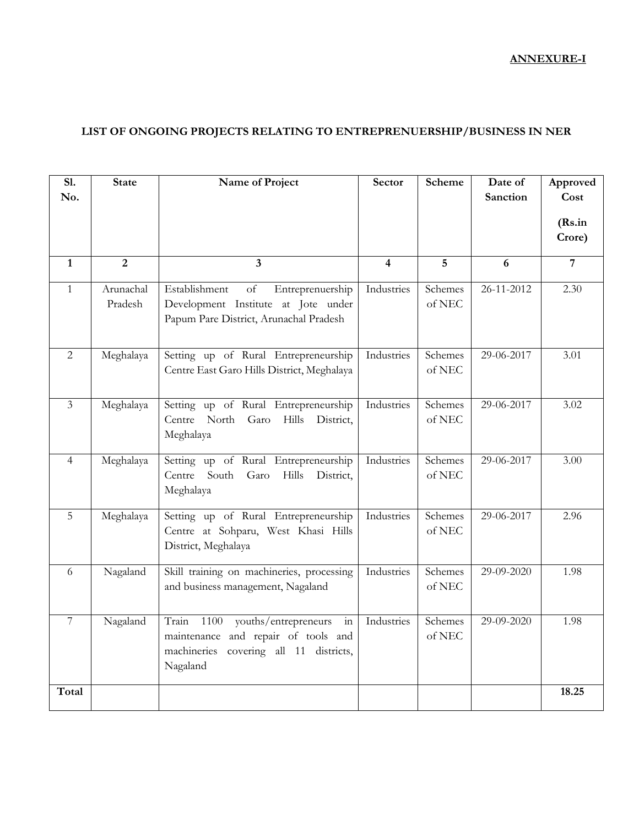### **ANNEXURE-I**

### **LIST OF ONGOING PROJECTS RELATING TO ENTREPRENUERSHIP/BUSINESS IN NER**

| <b>S1.</b><br>No. | <b>State</b>         | Name of Project                                                                                                                                                                                                          | Sector                  | <b>Scheme</b>          | Date of<br>Sanction | Approved<br>Cost<br>(Rs.in) |
|-------------------|----------------------|--------------------------------------------------------------------------------------------------------------------------------------------------------------------------------------------------------------------------|-------------------------|------------------------|---------------------|-----------------------------|
|                   |                      |                                                                                                                                                                                                                          |                         |                        |                     | Crore)                      |
| $\mathbf{1}$      | $\overline{2}$       | $\overline{\mathbf{3}}$                                                                                                                                                                                                  | $\overline{\mathbf{4}}$ | 5                      | 6                   | $\overline{7}$              |
| $\mathbf{1}$      | Arunachal<br>Pradesh | Establishment<br>$% \left( \left( \mathcal{A},\mathcal{A}\right) \right) =\left( \mathcal{A},\mathcal{A}\right)$ of<br>Entreprenuership<br>Development Institute at Jote under<br>Papum Pare District, Arunachal Pradesh | Industries              | Schemes<br>of NEC      | 26-11-2012          | 2.30                        |
| $\overline{2}$    | Meghalaya            | Setting up of Rural Entrepreneurship<br>Centre East Garo Hills District, Meghalaya                                                                                                                                       | Industries              | Schemes<br>of NEC      | 29-06-2017          | 3.01                        |
| $\overline{3}$    | Meghalaya            | Setting up of Rural Entrepreneurship<br><b>Hills</b><br>Centre<br>North<br>Garo<br>District,<br>Meghalaya                                                                                                                | Industries              | Schemes<br>of NEC      | 29-06-2017          | 3.02                        |
| $\overline{4}$    | Meghalaya            | Setting up of Rural Entrepreneurship<br>Centre<br>South<br>Hills<br>Garo<br>District,<br>Meghalaya                                                                                                                       | Industries              | Schemes<br>of NEC      | 29-06-2017          | 3.00                        |
| 5                 | Meghalaya            | Setting up of Rural Entrepreneurship<br>Centre at Sohparu, West Khasi Hills<br>District, Meghalaya                                                                                                                       | Industries              | Schemes<br>of NEC $\,$ | 29-06-2017          | 2.96                        |
| 6                 | Nagaland             | Skill training on machineries, processing<br>and business management, Nagaland                                                                                                                                           | Industries              | Schemes<br>of NEC      | 29-09-2020          | 1.98                        |
| $\overline{7}$    | Nagaland             | 1100<br>youths/entrepreneurs<br>Train<br>$\overline{\text{in}}$<br>maintenance and repair of tools and<br>machineries covering all 11 districts,<br>Nagaland                                                             | Industries              | Schemes<br>of NEC      | 29-09-2020          | 1.98                        |
| Total             |                      |                                                                                                                                                                                                                          |                         |                        |                     | 18.25                       |